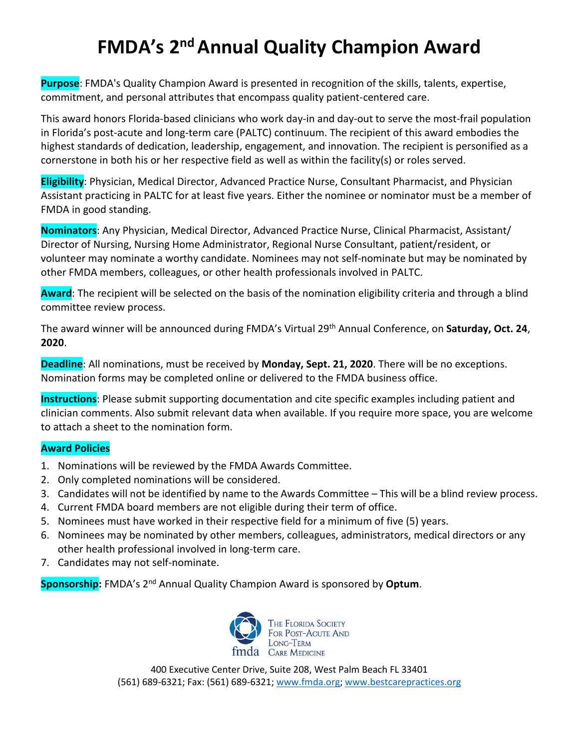## **FMDA's 2<sup>nd</sup> Annual Quality Champion Award**

**Purpose**: FMDA's Quality Champion Award is presented in recognition of the skills, talents, expertise, commitment, and personal attributes that encompass quality patient-centered care.

This award honors Florida-based clinicians who work day-in and day-out to serve the most-frail population in Florida's post-acute and long-term care (PALTC) continuum. The recipient of this award embodies the highest standards of dedication, leadership, engagement, and innovation. The recipient is personified as a cornerstone in both his or her respective field as well as within the facility(s) or roles served.

**Eligibility**: Physician, Medical Director, Advanced Practice Nurse, Consultant Pharmacist, and Physician Assistant practicing in PALTC for at least five years. Either the nominee or nominator must be a member of FMDA in good standing.

**Nominators**: Any Physician, Medical Director, Advanced Practice Nurse, Clinical Pharmacist, Assistant/ Director of Nursing, Nursing Home Administrator, Regional Nurse Consultant, patient/resident, or volunteer may nominate a worthy candidate. Nominees may not self-nominate but may be nominated by other FMDA members, colleagues, or other health professionals involved in PALTC.

**Award**: The recipient will be selected on the basis of the nomination eligibility criteria and through a blind committee review process.

The award winner will be announced during FMDA's Virtual 29th Annual Conference, on **Saturday, Oct. 24**, **2020**.

**Deadline**: All nominations, must be received by **Monday, Sept. 21, 2020**. There will be no exceptions. Nomination forms may be completed online or delivered to the FMDA business office.

**Instructions**: Please submit supporting documentation and cite specific examples including patient and clinician comments. Also submit relevant data when available. If you require more space, you are welcome to attach a sheet to the nomination form.

## **Award Policies**

- 1. Nominations will be reviewed by the FMDA Awards Committee.
- 2. Only completed nominations will be considered.
- 3. Candidates will not be identified by name to the Awards Committee This will be a blind review process.
- 4. Current FMDA board members are not eligible during their term of office.
- 5. Nominees must have worked in their respective field for a minimum of five (5) years.
- 6. Nominees may be nominated by other members, colleagues, administrators, medical directors or any other health professional involved in long-term care.
- 7. Candidates may not self-nominate.

**Sponsorship:** FMDA's 2nd Annual Quality Champion Award is sponsored by **Optum**.



400 Executive Center Drive, Suite 208, West Palm Beach FL 33401 (561) 689-6321; Fax: (561) 689-6321; [www.fmda.org;](http://www.fmda.org/) [www.bestcarepractices.org](http://www.bestcarepractices.org/)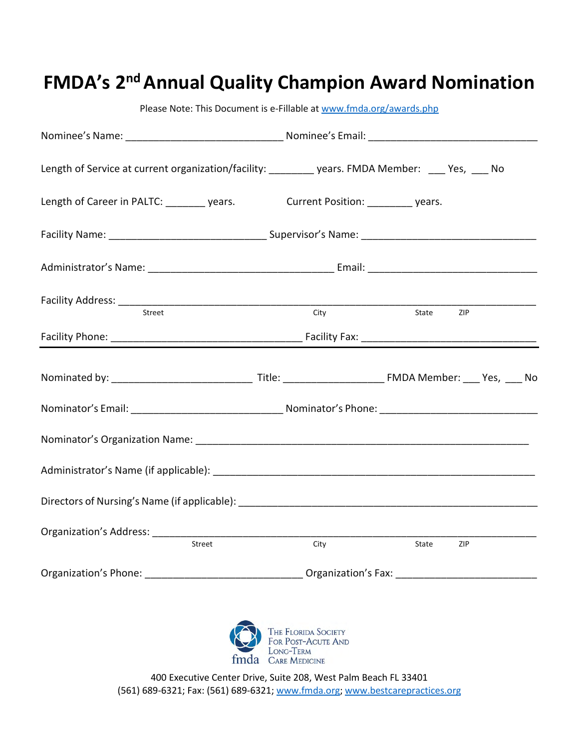| Length of Service at current organization/facility: _________ years. FMDA Member: ___ Yes, ___ No                                                                                                                              |                                                                                                                |           |     |  |
|--------------------------------------------------------------------------------------------------------------------------------------------------------------------------------------------------------------------------------|----------------------------------------------------------------------------------------------------------------|-----------|-----|--|
| Length of Career in PALTC: years. Current Position: years.                                                                                                                                                                     |                                                                                                                |           |     |  |
|                                                                                                                                                                                                                                |                                                                                                                |           |     |  |
|                                                                                                                                                                                                                                |                                                                                                                |           |     |  |
|                                                                                                                                                                                                                                | <b>City</b>                                                                                                    | State ZIP |     |  |
|                                                                                                                                                                                                                                |                                                                                                                |           |     |  |
|                                                                                                                                                                                                                                |                                                                                                                |           |     |  |
|                                                                                                                                                                                                                                |                                                                                                                |           |     |  |
| Nominator's Organization Name: Manual According to the Contract of Contract of Contract of Contract of Contract of Contract of Contract of Contract of Contract of Contract of Contract of Contract of Contract of Contract of |                                                                                                                |           |     |  |
|                                                                                                                                                                                                                                |                                                                                                                |           |     |  |
|                                                                                                                                                                                                                                |                                                                                                                |           |     |  |
| Street                                                                                                                                                                                                                         | City                                                                                                           | State     | ZIP |  |
|                                                                                                                                                                                                                                | Organization's Phone: __________________________________Organization's Fax: __________________________________ |           |     |  |

**FMDA's 2<sup>nd</sup> Annual Quality Champion Award Nomination** 

Please Note: This Document is e-Fillable at [www.fmda.org/awards.](http://www.fmda.org/awards)php



400 Executive Center Drive, Suite 208, West Palm Beach FL 33401 (561) 689-6321; Fax: (561) 689-6321; [www.fmda.org;](http://www.fmda.org/) [www.bestcarepractices.org](http://www.bestcarepractices.org/)